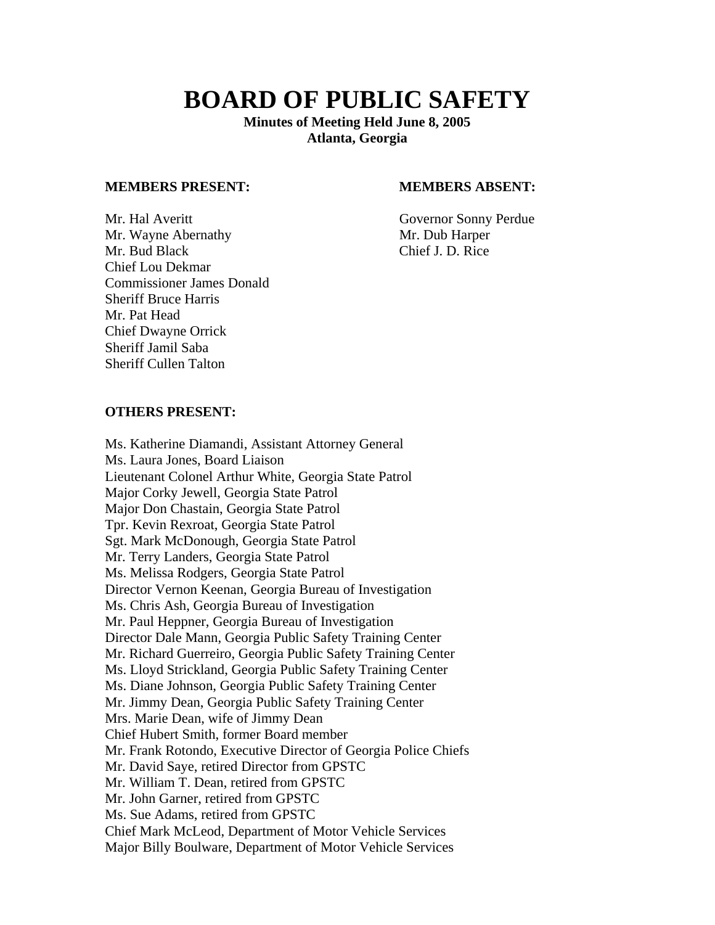# **BOARD OF PUBLIC SAFETY**

**Minutes of Meeting Held June 8, 2005 Atlanta, Georgia** 

#### **MEMBERS PRESENT: MEMBERS ABSENT:**

Mr. Hal Averitt<br>
Mr. Wavne Abernathy<br>
Mr. Dub Harper Mr. Wayne Abernathy Mr. Bud Black Chief J. D. Rice Chief Lou Dekmar Commissioner James Donald Sheriff Bruce Harris Mr. Pat Head Chief Dwayne Orrick Sheriff Jamil Saba Sheriff Cullen Talton

#### **OTHERS PRESENT:**

Ms. Katherine Diamandi, Assistant Attorney General Ms. Laura Jones, Board Liaison Lieutenant Colonel Arthur White, Georgia State Patrol Major Corky Jewell, Georgia State Patrol Major Don Chastain, Georgia State Patrol Tpr. Kevin Rexroat, Georgia State Patrol Sgt. Mark McDonough, Georgia State Patrol Mr. Terry Landers, Georgia State Patrol Ms. Melissa Rodgers, Georgia State Patrol Director Vernon Keenan, Georgia Bureau of Investigation Ms. Chris Ash, Georgia Bureau of Investigation Mr. Paul Heppner, Georgia Bureau of Investigation Director Dale Mann, Georgia Public Safety Training Center Mr. Richard Guerreiro, Georgia Public Safety Training Center Ms. Lloyd Strickland, Georgia Public Safety Training Center Ms. Diane Johnson, Georgia Public Safety Training Center Mr. Jimmy Dean, Georgia Public Safety Training Center Mrs. Marie Dean, wife of Jimmy Dean Chief Hubert Smith, former Board member Mr. Frank Rotondo, Executive Director of Georgia Police Chiefs Mr. David Saye, retired Director from GPSTC Mr. William T. Dean, retired from GPSTC Mr. John Garner, retired from GPSTC Ms. Sue Adams, retired from GPSTC Chief Mark McLeod, Department of Motor Vehicle Services Major Billy Boulware, Department of Motor Vehicle Services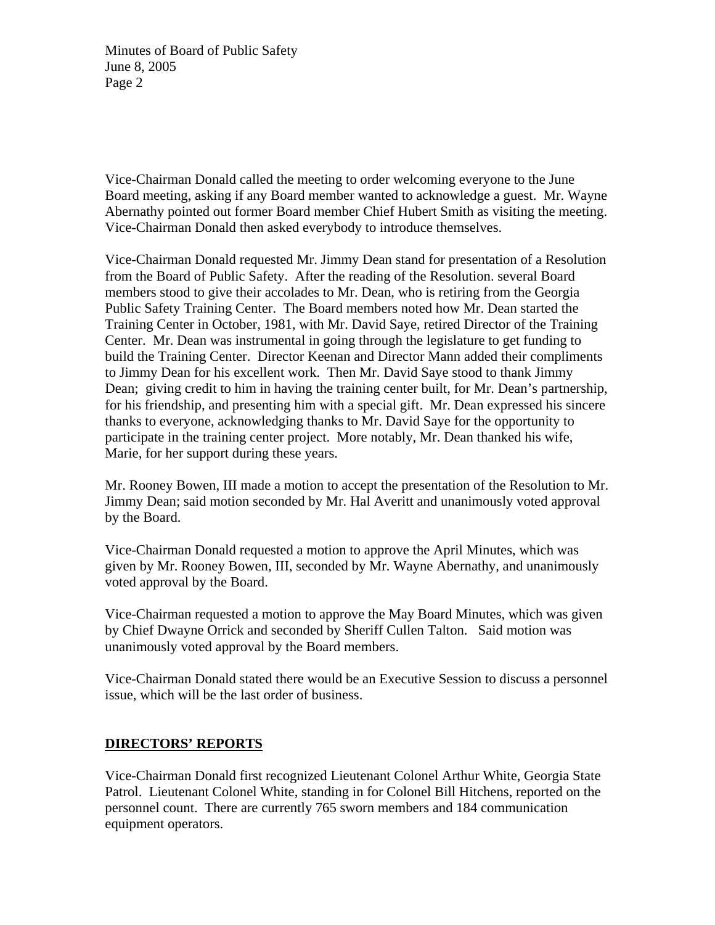Vice-Chairman Donald called the meeting to order welcoming everyone to the June Board meeting, asking if any Board member wanted to acknowledge a guest. Mr. Wayne Abernathy pointed out former Board member Chief Hubert Smith as visiting the meeting. Vice-Chairman Donald then asked everybody to introduce themselves.

Vice-Chairman Donald requested Mr. Jimmy Dean stand for presentation of a Resolution from the Board of Public Safety. After the reading of the Resolution. several Board members stood to give their accolades to Mr. Dean, who is retiring from the Georgia Public Safety Training Center. The Board members noted how Mr. Dean started the Training Center in October, 1981, with Mr. David Saye, retired Director of the Training Center. Mr. Dean was instrumental in going through the legislature to get funding to build the Training Center. Director Keenan and Director Mann added their compliments to Jimmy Dean for his excellent work. Then Mr. David Saye stood to thank Jimmy Dean; giving credit to him in having the training center built, for Mr. Dean's partnership, for his friendship, and presenting him with a special gift. Mr. Dean expressed his sincere thanks to everyone, acknowledging thanks to Mr. David Saye for the opportunity to participate in the training center project. More notably, Mr. Dean thanked his wife, Marie, for her support during these years.

Mr. Rooney Bowen, III made a motion to accept the presentation of the Resolution to Mr. Jimmy Dean; said motion seconded by Mr. Hal Averitt and unanimously voted approval by the Board.

Vice-Chairman Donald requested a motion to approve the April Minutes, which was given by Mr. Rooney Bowen, III, seconded by Mr. Wayne Abernathy, and unanimously voted approval by the Board.

Vice-Chairman requested a motion to approve the May Board Minutes, which was given by Chief Dwayne Orrick and seconded by Sheriff Cullen Talton. Said motion was unanimously voted approval by the Board members.

Vice-Chairman Donald stated there would be an Executive Session to discuss a personnel issue, which will be the last order of business.

# **DIRECTORS' REPORTS**

Vice-Chairman Donald first recognized Lieutenant Colonel Arthur White, Georgia State Patrol. Lieutenant Colonel White, standing in for Colonel Bill Hitchens, reported on the personnel count. There are currently 765 sworn members and 184 communication equipment operators.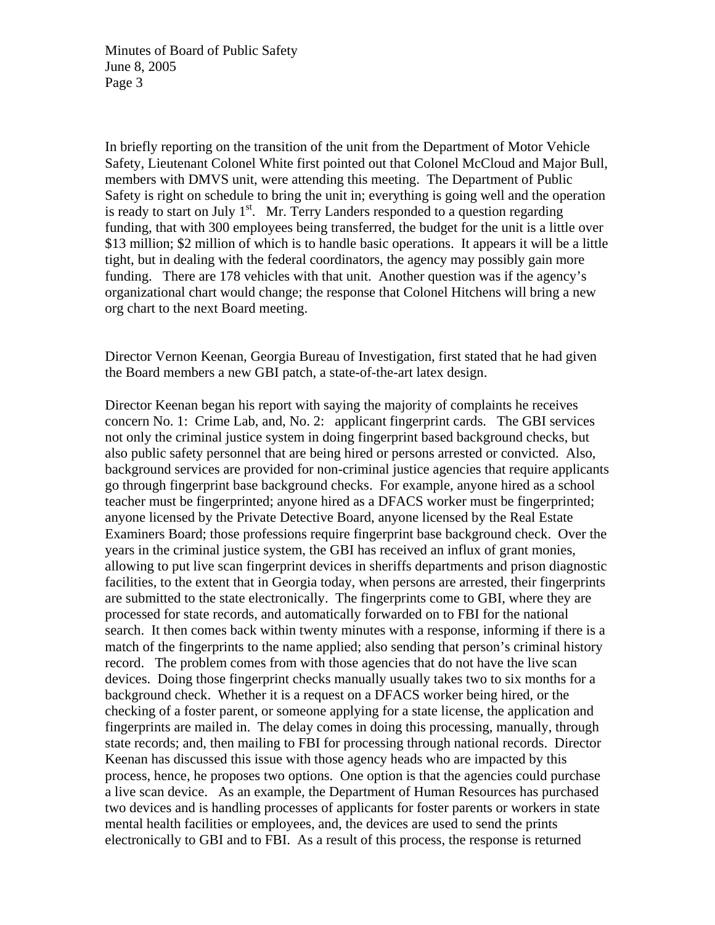In briefly reporting on the transition of the unit from the Department of Motor Vehicle Safety, Lieutenant Colonel White first pointed out that Colonel McCloud and Major Bull, members with DMVS unit, were attending this meeting. The Department of Public Safety is right on schedule to bring the unit in; everything is going well and the operation is ready to start on July  $1<sup>st</sup>$ . Mr. Terry Landers responded to a question regarding funding, that with 300 employees being transferred, the budget for the unit is a little over \$13 million; \$2 million of which is to handle basic operations. It appears it will be a little tight, but in dealing with the federal coordinators, the agency may possibly gain more funding. There are 178 vehicles with that unit. Another question was if the agency's organizational chart would change; the response that Colonel Hitchens will bring a new org chart to the next Board meeting.

Director Vernon Keenan, Georgia Bureau of Investigation, first stated that he had given the Board members a new GBI patch, a state-of-the-art latex design.

Director Keenan began his report with saying the majority of complaints he receives concern No. 1: Crime Lab, and, No. 2: applicant fingerprint cards. The GBI services not only the criminal justice system in doing fingerprint based background checks, but also public safety personnel that are being hired or persons arrested or convicted. Also, background services are provided for non-criminal justice agencies that require applicants go through fingerprint base background checks. For example, anyone hired as a school teacher must be fingerprinted; anyone hired as a DFACS worker must be fingerprinted; anyone licensed by the Private Detective Board, anyone licensed by the Real Estate Examiners Board; those professions require fingerprint base background check. Over the years in the criminal justice system, the GBI has received an influx of grant monies, allowing to put live scan fingerprint devices in sheriffs departments and prison diagnostic facilities, to the extent that in Georgia today, when persons are arrested, their fingerprints are submitted to the state electronically. The fingerprints come to GBI, where they are processed for state records, and automatically forwarded on to FBI for the national search. It then comes back within twenty minutes with a response, informing if there is a match of the fingerprints to the name applied; also sending that person's criminal history record. The problem comes from with those agencies that do not have the live scan devices. Doing those fingerprint checks manually usually takes two to six months for a background check. Whether it is a request on a DFACS worker being hired, or the checking of a foster parent, or someone applying for a state license, the application and fingerprints are mailed in. The delay comes in doing this processing, manually, through state records; and, then mailing to FBI for processing through national records. Director Keenan has discussed this issue with those agency heads who are impacted by this process, hence, he proposes two options. One option is that the agencies could purchase a live scan device. As an example, the Department of Human Resources has purchased two devices and is handling processes of applicants for foster parents or workers in state mental health facilities or employees, and, the devices are used to send the prints electronically to GBI and to FBI. As a result of this process, the response is returned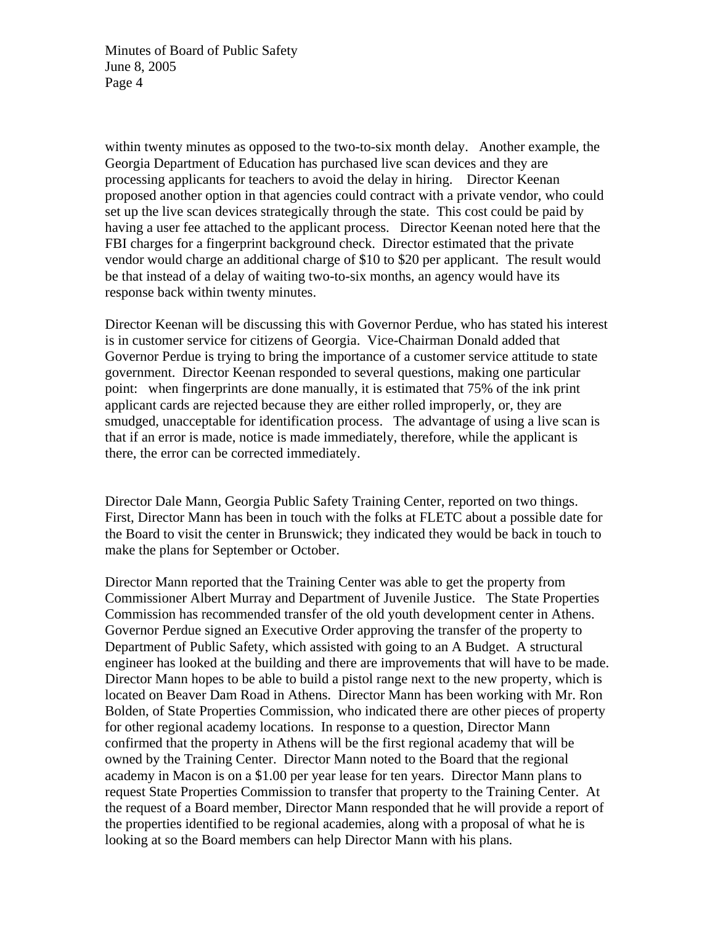within twenty minutes as opposed to the two-to-six month delay. Another example, the Georgia Department of Education has purchased live scan devices and they are processing applicants for teachers to avoid the delay in hiring. Director Keenan proposed another option in that agencies could contract with a private vendor, who could set up the live scan devices strategically through the state. This cost could be paid by having a user fee attached to the applicant process. Director Keenan noted here that the FBI charges for a fingerprint background check. Director estimated that the private vendor would charge an additional charge of \$10 to \$20 per applicant. The result would be that instead of a delay of waiting two-to-six months, an agency would have its response back within twenty minutes.

Director Keenan will be discussing this with Governor Perdue, who has stated his interest is in customer service for citizens of Georgia. Vice-Chairman Donald added that Governor Perdue is trying to bring the importance of a customer service attitude to state government. Director Keenan responded to several questions, making one particular point: when fingerprints are done manually, it is estimated that 75% of the ink print applicant cards are rejected because they are either rolled improperly, or, they are smudged, unacceptable for identification process. The advantage of using a live scan is that if an error is made, notice is made immediately, therefore, while the applicant is there, the error can be corrected immediately.

Director Dale Mann, Georgia Public Safety Training Center, reported on two things. First, Director Mann has been in touch with the folks at FLETC about a possible date for the Board to visit the center in Brunswick; they indicated they would be back in touch to make the plans for September or October.

Director Mann reported that the Training Center was able to get the property from Commissioner Albert Murray and Department of Juvenile Justice. The State Properties Commission has recommended transfer of the old youth development center in Athens. Governor Perdue signed an Executive Order approving the transfer of the property to Department of Public Safety, which assisted with going to an A Budget. A structural engineer has looked at the building and there are improvements that will have to be made. Director Mann hopes to be able to build a pistol range next to the new property, which is located on Beaver Dam Road in Athens. Director Mann has been working with Mr. Ron Bolden, of State Properties Commission, who indicated there are other pieces of property for other regional academy locations. In response to a question, Director Mann confirmed that the property in Athens will be the first regional academy that will be owned by the Training Center. Director Mann noted to the Board that the regional academy in Macon is on a \$1.00 per year lease for ten years. Director Mann plans to request State Properties Commission to transfer that property to the Training Center. At the request of a Board member, Director Mann responded that he will provide a report of the properties identified to be regional academies, along with a proposal of what he is looking at so the Board members can help Director Mann with his plans.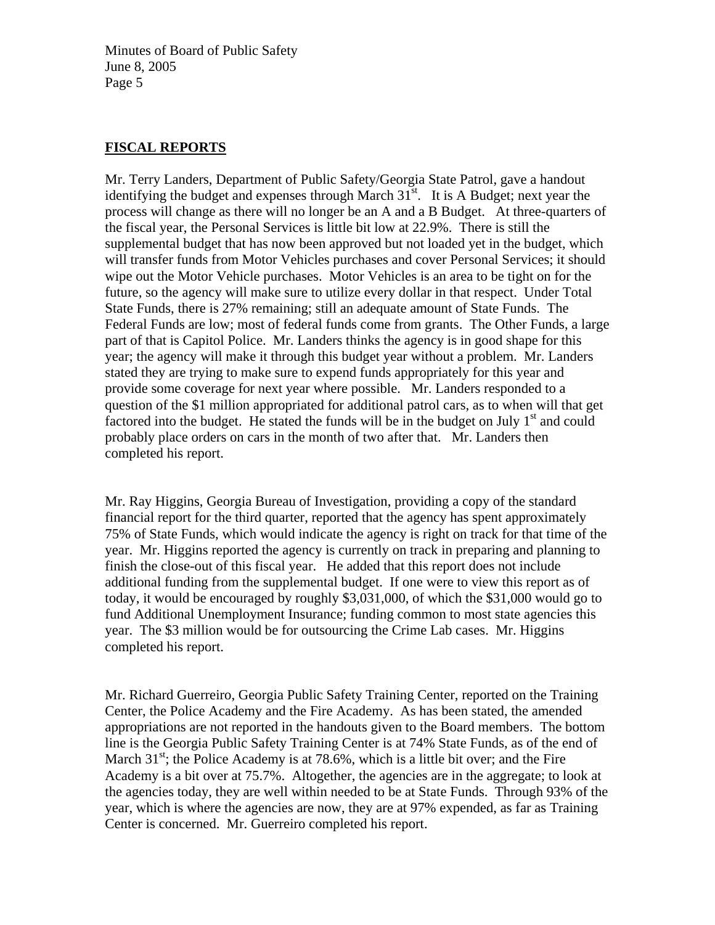### **FISCAL REPORTS**

Mr. Terry Landers, Department of Public Safety/Georgia State Patrol, gave a handout identifying the budget and expenses through March  $31<sup>st</sup>$ . It is A Budget; next year the process will change as there will no longer be an A and a B Budget. At three-quarters of the fiscal year, the Personal Services is little bit low at 22.9%. There is still the supplemental budget that has now been approved but not loaded yet in the budget, which will transfer funds from Motor Vehicles purchases and cover Personal Services; it should wipe out the Motor Vehicle purchases. Motor Vehicles is an area to be tight on for the future, so the agency will make sure to utilize every dollar in that respect. Under Total State Funds, there is 27% remaining; still an adequate amount of State Funds. The Federal Funds are low; most of federal funds come from grants. The Other Funds, a large part of that is Capitol Police. Mr. Landers thinks the agency is in good shape for this year; the agency will make it through this budget year without a problem. Mr. Landers stated they are trying to make sure to expend funds appropriately for this year and provide some coverage for next year where possible. Mr. Landers responded to a question of the \$1 million appropriated for additional patrol cars, as to when will that get factored into the budget. He stated the funds will be in the budget on July  $1<sup>st</sup>$  and could probably place orders on cars in the month of two after that. Mr. Landers then completed his report.

Mr. Ray Higgins, Georgia Bureau of Investigation, providing a copy of the standard financial report for the third quarter, reported that the agency has spent approximately 75% of State Funds, which would indicate the agency is right on track for that time of the year. Mr. Higgins reported the agency is currently on track in preparing and planning to finish the close-out of this fiscal year. He added that this report does not include additional funding from the supplemental budget. If one were to view this report as of today, it would be encouraged by roughly \$3,031,000, of which the \$31,000 would go to fund Additional Unemployment Insurance; funding common to most state agencies this year. The \$3 million would be for outsourcing the Crime Lab cases. Mr. Higgins completed his report.

Mr. Richard Guerreiro, Georgia Public Safety Training Center, reported on the Training Center, the Police Academy and the Fire Academy. As has been stated, the amended appropriations are not reported in the handouts given to the Board members. The bottom line is the Georgia Public Safety Training Center is at 74% State Funds, as of the end of March 31<sup>st</sup>; the Police Academy is at 78.6%, which is a little bit over; and the Fire Academy is a bit over at 75.7%. Altogether, the agencies are in the aggregate; to look at the agencies today, they are well within needed to be at State Funds. Through 93% of the year, which is where the agencies are now, they are at 97% expended, as far as Training Center is concerned. Mr. Guerreiro completed his report.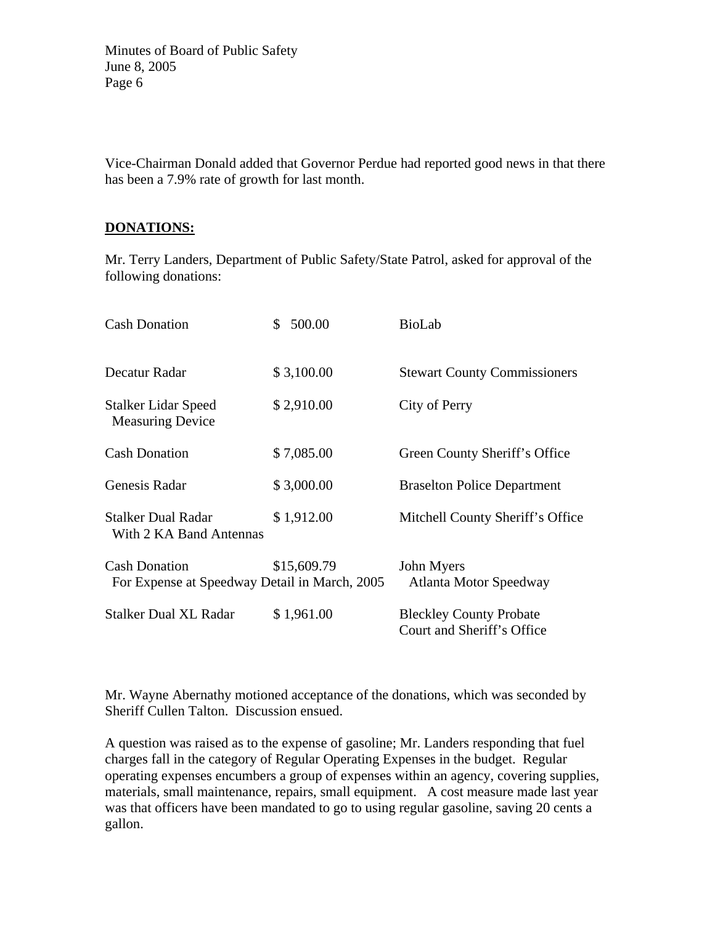Vice-Chairman Donald added that Governor Perdue had reported good news in that there has been a 7.9% rate of growth for last month.

#### **DONATIONS:**

Mr. Terry Landers, Department of Public Safety/State Patrol, asked for approval of the following donations:

| <b>Cash Donation</b>                                                  | 500.00<br>S. | <b>BioLab</b>                                                |
|-----------------------------------------------------------------------|--------------|--------------------------------------------------------------|
| Decatur Radar                                                         | \$3,100.00   | <b>Stewart County Commissioners</b>                          |
| <b>Stalker Lidar Speed</b><br><b>Measuring Device</b>                 | \$2,910.00   | City of Perry                                                |
| <b>Cash Donation</b>                                                  | \$7,085.00   | Green County Sheriff's Office                                |
| Genesis Radar                                                         | \$3,000.00   | <b>Braselton Police Department</b>                           |
| <b>Stalker Dual Radar</b><br>With 2 KA Band Antennas                  | \$1,912.00   | Mitchell County Sheriff's Office                             |
| <b>Cash Donation</b><br>For Expense at Speedway Detail in March, 2005 | \$15,609.79  | John Myers<br>Atlanta Motor Speedway                         |
| <b>Stalker Dual XL Radar</b>                                          | \$1,961.00   | <b>Bleckley County Probate</b><br>Court and Sheriff's Office |

Mr. Wayne Abernathy motioned acceptance of the donations, which was seconded by Sheriff Cullen Talton. Discussion ensued.

A question was raised as to the expense of gasoline; Mr. Landers responding that fuel charges fall in the category of Regular Operating Expenses in the budget. Regular operating expenses encumbers a group of expenses within an agency, covering supplies, materials, small maintenance, repairs, small equipment. A cost measure made last year was that officers have been mandated to go to using regular gasoline, saving 20 cents a gallon.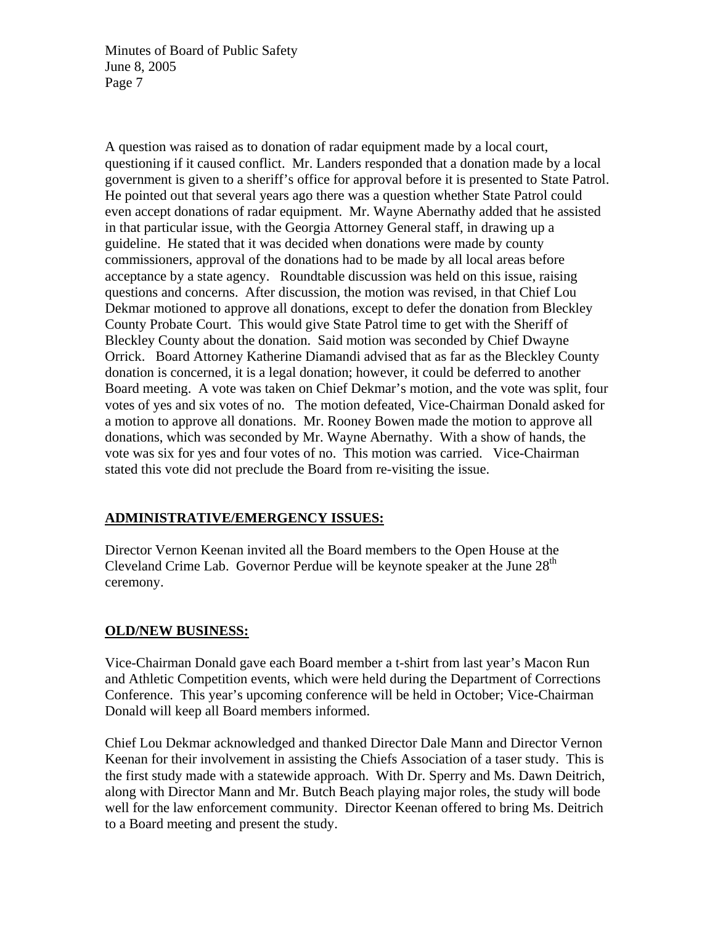A question was raised as to donation of radar equipment made by a local court, questioning if it caused conflict. Mr. Landers responded that a donation made by a local government is given to a sheriff's office for approval before it is presented to State Patrol. He pointed out that several years ago there was a question whether State Patrol could even accept donations of radar equipment. Mr. Wayne Abernathy added that he assisted in that particular issue, with the Georgia Attorney General staff, in drawing up a guideline. He stated that it was decided when donations were made by county commissioners, approval of the donations had to be made by all local areas before acceptance by a state agency. Roundtable discussion was held on this issue, raising questions and concerns. After discussion, the motion was revised, in that Chief Lou Dekmar motioned to approve all donations, except to defer the donation from Bleckley County Probate Court. This would give State Patrol time to get with the Sheriff of Bleckley County about the donation. Said motion was seconded by Chief Dwayne Orrick. Board Attorney Katherine Diamandi advised that as far as the Bleckley County donation is concerned, it is a legal donation; however, it could be deferred to another Board meeting. A vote was taken on Chief Dekmar's motion, and the vote was split, four votes of yes and six votes of no. The motion defeated, Vice-Chairman Donald asked for a motion to approve all donations. Mr. Rooney Bowen made the motion to approve all donations, which was seconded by Mr. Wayne Abernathy. With a show of hands, the vote was six for yes and four votes of no. This motion was carried. Vice-Chairman stated this vote did not preclude the Board from re-visiting the issue.

# **ADMINISTRATIVE/EMERGENCY ISSUES:**

Director Vernon Keenan invited all the Board members to the Open House at the Cleveland Crime Lab. Governor Perdue will be keynote speaker at the June  $28<sup>th</sup>$ ceremony.

# **OLD/NEW BUSINESS:**

Vice-Chairman Donald gave each Board member a t-shirt from last year's Macon Run and Athletic Competition events, which were held during the Department of Corrections Conference. This year's upcoming conference will be held in October; Vice-Chairman Donald will keep all Board members informed.

Chief Lou Dekmar acknowledged and thanked Director Dale Mann and Director Vernon Keenan for their involvement in assisting the Chiefs Association of a taser study. This is the first study made with a statewide approach. With Dr. Sperry and Ms. Dawn Deitrich, along with Director Mann and Mr. Butch Beach playing major roles, the study will bode well for the law enforcement community. Director Keenan offered to bring Ms. Deitrich to a Board meeting and present the study.